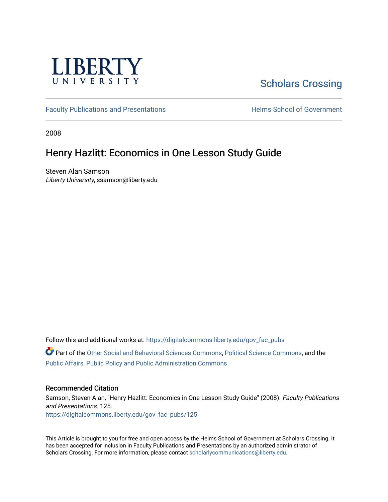

## [Scholars Crossing](https://digitalcommons.liberty.edu/)

[Faculty Publications and Presentations](https://digitalcommons.liberty.edu/gov_fac_pubs) **Exercise School of Government** 

2008

### Henry Hazlitt: Economics in One Lesson Study Guide

Steven Alan Samson Liberty University, ssamson@liberty.edu

Follow this and additional works at: [https://digitalcommons.liberty.edu/gov\\_fac\\_pubs](https://digitalcommons.liberty.edu/gov_fac_pubs?utm_source=digitalcommons.liberty.edu%2Fgov_fac_pubs%2F125&utm_medium=PDF&utm_campaign=PDFCoverPages)

Part of the [Other Social and Behavioral Sciences Commons](http://network.bepress.com/hgg/discipline/437?utm_source=digitalcommons.liberty.edu%2Fgov_fac_pubs%2F125&utm_medium=PDF&utm_campaign=PDFCoverPages), [Political Science Commons](http://network.bepress.com/hgg/discipline/386?utm_source=digitalcommons.liberty.edu%2Fgov_fac_pubs%2F125&utm_medium=PDF&utm_campaign=PDFCoverPages), and the [Public Affairs, Public Policy and Public Administration Commons](http://network.bepress.com/hgg/discipline/393?utm_source=digitalcommons.liberty.edu%2Fgov_fac_pubs%2F125&utm_medium=PDF&utm_campaign=PDFCoverPages)

#### Recommended Citation

Samson, Steven Alan, "Henry Hazlitt: Economics in One Lesson Study Guide" (2008). Faculty Publications and Presentations. 125. [https://digitalcommons.liberty.edu/gov\\_fac\\_pubs/125](https://digitalcommons.liberty.edu/gov_fac_pubs/125?utm_source=digitalcommons.liberty.edu%2Fgov_fac_pubs%2F125&utm_medium=PDF&utm_campaign=PDFCoverPages)

This Article is brought to you for free and open access by the Helms School of Government at Scholars Crossing. It has been accepted for inclusion in Faculty Publications and Presentations by an authorized administrator of Scholars Crossing. For more information, please contact [scholarlycommunications@liberty.edu.](mailto:scholarlycommunications@liberty.edu)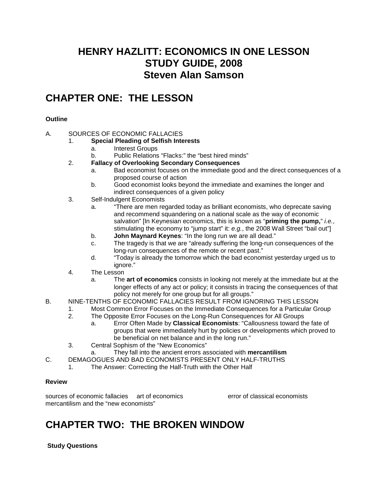### **HENRY HAZLITT: ECONOMICS IN ONE LESSON STUDY GUIDE, 2008 Steven Alan Samson**

## **CHAPTER ONE: THE LESSON**

### **Outline**

### A. SOURCES OF ECONOMIC FALLACIES

- 1. **Special Pleading of Selfish Interests**
	- a. Interest Groups
	- b. Public Relations "Flacks:" the "best hired minds"
- 2. **Fallacy of Overlooking Secondary Consequences**
	- a. Bad economist focuses on the immediate good and the direct consequences of a proposed course of action
	- b. Good economist looks beyond the immediate and examines the longer and indirect consequences of a given policy
- 3. Self-Indulgent Economists
	- a. "There are men regarded today as brilliant economists, who deprecate saving and recommend squandering on a national scale as the way of economic salvation" [In Keynesian economics, this is known as "**priming the pump,**" *i.e.*, stimulating the economy to "jump start" it: *e.g.*, the 2008 Wall Street "bail out"]
	- b. **John Maynard Keynes**: "In the long run we are all dead."
	- c. The tragedy is that we are "already suffering the long-run consequences of the long-run consequences of the remote or recent past."
	- d. "Today is already the tomorrow which the bad economist yesterday urged us to ignore."
- 4. The Lesson
	- a. The **art of economics** consists in looking not merely at the immediate but at the longer effects of any act or policy; it consists in tracing the consequences of that policy not merely for one group but for all groups."
- B. NINE-TENTHS OF ECONOMIC FALLACIES RESULT FROM IGNORING THIS LESSON
	- 1. Most Common Error Focuses on the Immediate Consequences for a Particular Group
	- 2. The Opposite Error Focuses on the Long-Run Consequences for All Groups
		- a. Error Often Made by **Classical Economists**: "Callousness toward the fate of groups that were immediately hurt by policies or developments which proved to be beneficial on net balance and in the long run."
	- 3. Central Sophism of the "New Economics"
	- a. They fall into the ancient errors associated with **mercantilism**
- C. DEMAGOGUES AND BAD ECONOMISTS PRESENT ONLY HALF-TRUTHS
	- 1. The Answer: Correcting the Half-Truth with the Other Half

### **Review**

sources of economic fallacies art of economics error of classical economists mercantilism and the "new economists"

# **CHAPTER TWO: THE BROKEN WINDOW**

**Study Questions**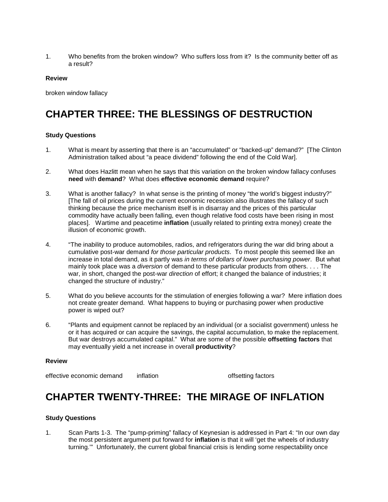1. Who benefits from the broken window? Who suffers loss from it? Is the community better off as a result?

#### **Review**

broken window fallacy

# **CHAPTER THREE: THE BLESSINGS OF DESTRUCTION**

#### **Study Questions**

- 1. What is meant by asserting that there is an "accumulated" or "backed-up" demand?" [The Clinton Administration talked about "a peace dividend" following the end of the Cold War].
- 2. What does Hazlitt mean when he says that this variation on the broken window fallacy confuses **need** with **demand**? What does **effective economic demand** require?
- 3. What is another fallacy? In what sense is the printing of money "the world's biggest industry?" [The fall of oil prices during the current economic recession also illustrates the fallacy of such thinking because the price mechanism itself is in disarray and the prices of this particular commodity have actually been falling, even though relative food costs have been rising in most places]. Wartime and peacetime **inflation** (usually related to printing extra money) create the illusion of economic growth.
- 4. "The inability to produce automobiles, radios, and refrigerators during the war did bring about a cumulative post-war demand *for those particular products*. To most people this seemed like an increase in total demand, as it partly was *in terms of dollars of lower purchasing power*. But what mainly took place was a *diversion* of demand to these particular products from others. . . . The war, in short, changed the post-war *direction* of effort; it changed the balance of industries; it changed the structure of industry."
- 5. What do you believe accounts for the stimulation of energies following a war? Mere inflation does not create greater demand. What happens to buying or purchasing power when productive power is wiped out?
- 6. "Plants and equipment cannot be replaced by an individual (or a socialist government) unless he or it has acquired or can acquire the savings, the capital accumulation, to make the replacement. But war destroys accumulated capital." What are some of the possible **offsetting factors** that may eventually yield a net increase in overall **productivity**?

#### **Review**

effective economic demand inflation inflation offsetting factors

## **CHAPTER TWENTY-THREE: THE MIRAGE OF INFLATION**

#### **Study Questions**

1. Scan Parts 1-3. The "pump-priming" fallacy of Keynesian is addressed in Part 4: "In our own day the most persistent argument put forward for **inflation** is that it will 'get the wheels of industry turning.'" Unfortunately, the current global financial crisis is lending some respectability once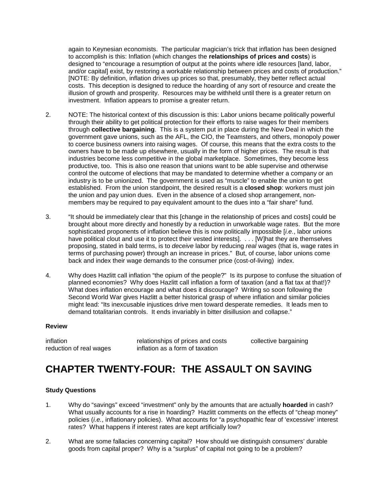again to Keynesian economists. The particular magician's trick that inflation has been designed to accomplish is this: Inflation (which changes the **relationships of prices and costs**) is designed to "encourage a resumption of output at the points where idle resources [land, labor, and/or capital] exist, by restoring a workable relationship between prices and costs of production." [NOTE: By definition, inflation drives up prices so that, presumably, they better reflect actual costs. This deception is designed to reduce the hoarding of any sort of resource and create the illusion of growth and prosperity. Resources may be withheld until there is a greater return on investment. Inflation appears to promise a greater return.

- 2. NOTE: The historical context of this discussion is this: Labor unions became politically powerful through their ability to get political protection for their efforts to raise wages for their members through **collective bargaining**. This is a system put in place during the New Deal in which the government gave unions, such as the AFL, the CIO, the Teamsters, and others, monopoly power to coerce business owners into raising wages. Of course, this means that the extra costs to the owners have to be made up elsewhere, usually in the form of higher prices. The result is that industries become less competitive in the global marketplace. Sometimes, they become less productive, too. This is also one reason that unions want to be able supervise and otherwise control the outcome of elections that may be mandated to determine whether a company or an industry is to be unionized. The government is used as "muscle" to enable the union to get established. From the union standpoint, the desired result is a **closed shop**: workers must join the union and pay union dues. Even in the absence of a closed shop arrangement, nonmembers may be required to pay equivalent amount to the dues into a "fair share" fund.
- 3. "It should be immediately clear that this [change in the relationship of prices and costs] could be brought about more directly and honestly by a reduction in unworkable wage rates. But the more sophisticated proponents of inflation believe this is now politically impossible [*i.e.*, labor unions have political clout and use it to protect their vested interests]. . . . [W] hat they are themselves proposing, stated in bald terms, is to *deceive* labor by reducing *real* wages (that is, wage rates in terms of purchasing power) through an increase in prices." But, of course, labor unions come back and index their wage demands to the consumer price (cost-of-living) index.
- 4. Why does Hazlitt call inflation "the opium of the people?" Is its purpose to confuse the situation of planned economies? Why does Hazlitt call inflation a form of taxation (and a flat tax at that!)? What does inflation encourage and what does it discourage? Writing so soon following the Second World War gives Hazlitt a better historical grasp of where inflation and similar policies might lead: "Its inexcusable injustices drive men toward desperate remedies. It leads men to demand totalitarian controls. It ends invariably in bitter disillusion and collapse."

#### **Review**

inflation<br>
relationships of prices and costs<br>
reduction of real wages<br>
inflation as a form of taxation<br>
reduction of real wages<br>
inflation as a form of taxation inflation as a form of taxation

### **CHAPTER TWENTY-FOUR: THE ASSAULT ON SAVING**

#### **Study Questions**

- 1. Why do "savings" exceed "investment" only by the amounts that are actually **hoarded** in cash? What usually accounts for a rise in hoarding? Hazlitt comments on the effects of "cheap money" policies (*i.e.*, inflationary policies). What accounts for "a psychopathic fear of 'excessive' interest rates? What happens if interest rates are kept artificially low?
- 2. What are some fallacies concerning capital? How should we distinguish consumers' durable goods from capital proper? Why is a "surplus" of capital not going to be a problem?